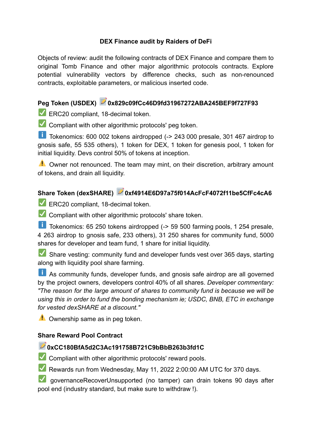#### **DEX Finance audit by Raiders of DeFi**

Objects of review: audit the following contracts of DEX Finance and compare them to original Tomb Finance and other major algorithmic protocols contracts. Explore potential vulnerability vectors by difference checks, such as non-renounced contracts, exploitable parameters, or malicious inserted code.

# **Peg Token (USDEX) 0x829c09fCc46D9fd31967272ABA245BEF9f727F93**

ERC20 compliant, 18-decimal token.

Compliant with other algorithmic protocols' peg token.

Tokenomics: 600 002 tokens airdropped (-> 243 000 presale, 301 467 airdrop to gnosis safe, 55 535 others), 1 token for DEX, 1 token for genesis pool, 1 token for initial liquidity. Devs control 50% of tokens at inception.

**A** Owner not renounced. The team may mint, on their discretion, arbitrary amount of tokens, and drain all liquidity.

# **Share Token (dexSHARE) 0xf4914E6D97a75f014AcFcF4072f11be5CfFc4cA6**

ERC20 compliant, 18-decimal token.

 $\blacktriangleright$  Compliant with other algorithmic protocols' share token.

Tokenomics: 65 250 tokens airdropped (-> 59 500 farming pools, 1 254 presale, 4 263 airdrop to gnosis safe, 233 others), 31 250 shares for community fund, 5000 shares for developer and team fund, 1 share for initial liquidity.

Share vesting: community fund and developer funds vest over 365 days, starting along with liquidity pool share farming.

As community funds, developer funds, and gnosis safe airdrop are all governed by the project owners, developers control 40% of all shares. *Developer commentary: "The reason for the large amount of shares to community fund is because we will be using this in order to fund the bonding mechanism ie; USDC, BNB, ETC in exchange for vested dexSHARE at a discount."*

**Comership same as in peg token.** 

#### **Share Reward Pool Contract**

#### **0xCC180BfA5d2C3Ac191758B721C9bBbB263b3fd1C**

Compliant with other algorithmic protocols' reward pools.

Rewards run from Wednesday, May 11, 2022 2:00:00 AM UTC for 370 days.

**V** governanceRecoverUnsupported (no tamper) can drain tokens 90 days after pool end (industry standard, but make sure to withdraw !).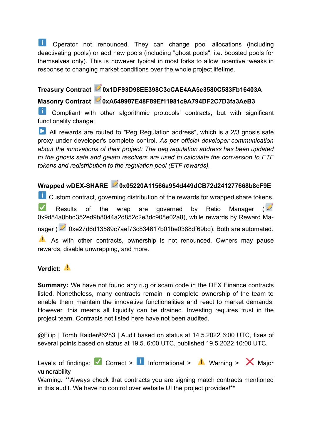**th** Operator not renounced. They can change pool allocations (including deactivating pools) or add new pools (including "ghost pools", i.e. boosted pools for themselves only). This is however typical in most forks to allow incentive tweaks in response to changing market conditions over the whole project lifetime.

#### **Treasury Contract 0x1DF93D98EE398C3cCAE4AA5e3580C583Fb16403A**

## **Masonry Contract 0xA649987E48F89Ef11981c9A794DF2C7D3fa3AeB3**

**Li** Compliant with other algorithmic protocols' contracts, but with significant functionality change:

All rewards are routed to "Peg Regulation address", which is a 2/3 gnosis safe proxy under developer's complete control. *As per official developer communication about the innovations of their project: The peg regulation address has been updated to the gnosis safe and gelato resolvers are used to calculate the conversion to ETF tokens and redistribution to the regulation pool (ETF rewards).*

## **Wrapped wDEX-SHARE 0x05220A11566a954d449dCB72d241277668b8cF9E**

**Custom contract, governing distribution of the rewards for wrapped share tokens.** 

Results of the wrap are governed by Ratio Manager ( 0x9d84a0bbd352ed9b8044a2d852c2e3dc908e02a8), while rewards by Reward Ma-

nager ( 2 0xe27d6d13589c7aef73c834617b01be0388df69bd). Both are automated.

A As with other contracts, ownership is not renounced. Owners may pause rewards, disable unwrapping, and more.

### **Verdict:**

**Summary:** We have not found any rug or scam code in the DEX Finance contracts listed. Nonetheless, many contracts remain in complete ownership of the team to enable them maintain the innovative functionalities and react to market demands. However, this means all liquidity can be drained. Investing requires trust in the project team. Contracts not listed here have not been audited.

@Filip | Tomb Raider#6283 | Audit based on status at 14.5.2022 6:00 UTC, fixes of several points based on status at 19.5. 6:00 UTC, published 19.5.2022 10:00 UTC.

Levels of findings:  $\blacksquare$  Correct >  $\blacksquare$  Informational >  $\blacksquare$  Warning >  $\blacksquare$  Major vulnerability

Warning: \*\*Always check that contracts you are signing match contracts mentioned in this audit. We have no control over website UI the project provides!\*\*